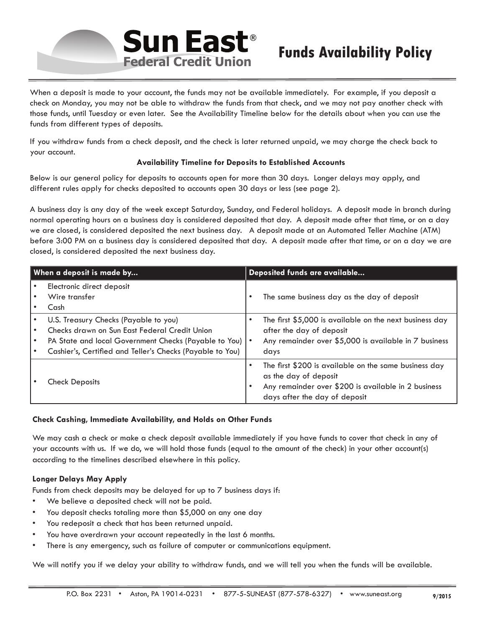

When a deposit is made to your account, the funds may not be available immediately. For example, if you deposit a check on Monday, you may not be able to withdraw the funds from that check, and we may not pay another check with those funds, until Tuesday or even later. See the Availability Timeline below for the details about when you can use the funds from different types of deposits.

If you withdraw funds from a check deposit, and the check is later returned unpaid, we may charge the check back to your account.

## **Availability Timeline for Deposits to Established Accounts**

Below is our general policy for deposits to accounts open for more than 30 days. Longer delays may apply, and different rules apply for checks deposited to accounts open 30 days or less (see page 2).

A business day is any day of the week except Saturday, Sunday, and Federal holidays. A deposit made in branch during normal operating hours on a business day is considered deposited that day. A deposit made after that time, or on a day we are closed, is considered deposited the next business day. A deposit made at an Automated Teller Machine (ATM) before 3:00 PM on a business day is considered deposited that day. A deposit made after that time, or on a day we are closed, is considered deposited the next business day.

| When a deposit is made by |                                                                                                                                                                                                                  | Deposited funds are available |                                                                                                                                                                        |
|---------------------------|------------------------------------------------------------------------------------------------------------------------------------------------------------------------------------------------------------------|-------------------------------|------------------------------------------------------------------------------------------------------------------------------------------------------------------------|
|                           | Electronic direct deposit<br>Wire transfer<br>Cash                                                                                                                                                               |                               | The same business day as the day of deposit                                                                                                                            |
|                           | U.S. Treasury Checks (Payable to you)<br>Checks drawn on Sun East Federal Credit Union<br>PA State and local Government Checks (Payable to You)   •<br>Cashier's, Certified and Teller's Checks (Payable to You) |                               | The first \$5,000 is available on the next business day<br>after the day of deposit<br>Any remainder over \$5,000 is available in 7 business<br>days                   |
|                           | <b>Check Deposits</b>                                                                                                                                                                                            |                               | The first \$200 is available on the same business day<br>as the day of deposit<br>Any remainder over \$200 is available in 2 business<br>days after the day of deposit |

## **Check Cashing, Immediate Availability, and Holds on Other Funds**

We may cash a check or make a check deposit available immediately if you have funds to cover that check in any of your accounts with us. If we do, we will hold those funds (equal to the amount of the check) in your other account(s) according to the timelines described elsewhere in this policy.

## **Longer Delays May Apply**

Funds from check deposits may be delayed for up to 7 business days if:

- We believe a deposited check will not be paid.
- You deposit checks totaling more than \$5,000 on any one day
- You redeposit a check that has been returned unpaid.
- You have overdrawn your account repeatedly in the last 6 months.
- There is any emergency, such as failure of computer or communications equipment.

We will notify you if we delay your ability to withdraw funds, and we will tell you when the funds will be available.